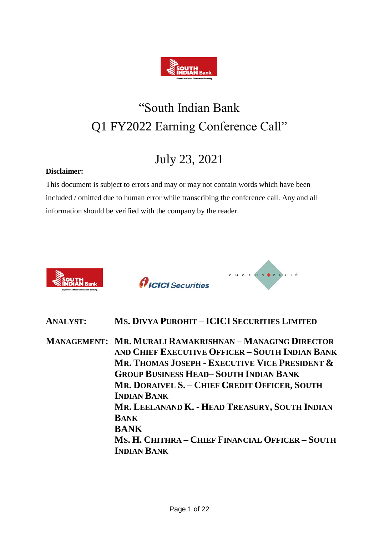

# "South Indian Bank Q1 FY2022 Earning Conference Call"

## July 23, 2021

### **Disclaimer:**

This document is subject to errors and may or may not contain words which have been included / omitted due to human error while transcribing the conference call. Any and all information should be verified with the company by the reader.







**ANALYST: MS. DIVYA PUROHIT – ICICI SECURITIES LIMITED**

**MANAGEMENT: MR. MURALI RAMAKRISHNAN – MANAGING DIRECTOR AND CHIEF EXECUTIVE OFFICER – SOUTH INDIAN BANK MR. THOMAS JOSEPH - EXECUTIVE VICE PRESIDENT & GROUP BUSINESS HEAD– SOUTH INDIAN BANK MR. DORAIVEL S. – CHIEF CREDIT OFFICER, SOUTH INDIAN BANK MR. LEELANAND K. - HEAD TREASURY, SOUTH INDIAN BANK BANK MS. H. CHITHRA – CHIEF FINANCIAL OFFICER – SOUTH INDIAN BANK**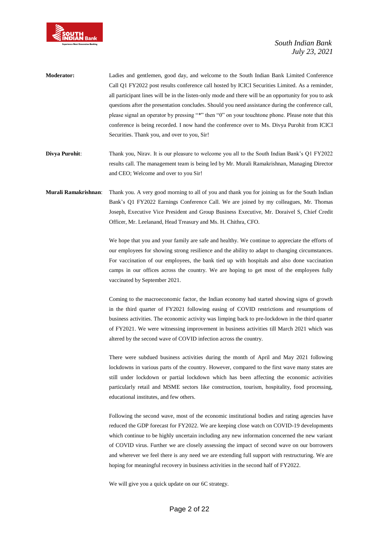

- **Moderator:** Ladies and gentlemen, good day, and welcome to the South Indian Bank Limited Conference Call Q1 FY2022 post results conference call hosted by ICICI Securities Limited. As a reminder, all participant lines will be in the listen-only mode and there will be an opportunity for you to ask questions after the presentation concludes. Should you need assistance during the conference call, please signal an operator by pressing "\*" then "0" on your touchtone phone. Please note that this conference is being recorded. I now hand the conference over to Ms. Divya Purohit from ICICI Securities. Thank you, and over to you, Sir!
- **Divya Purohit**: Thank you, Nirav. It is our pleasure to welcome you all to the South Indian Bank's Q1 FY2022 results call. The management team is being led by Mr. Murali Ramakrishnan, Managing Director and CEO; Welcome and over to you Sir!
- **Murali Ramakrishnan**: Thank you. A very good morning to all of you and thank you for joining us for the South Indian Bank's Q1 FY2022 Earnings Conference Call. We are joined by my colleagues, Mr. Thomas Joseph, Executive Vice President and Group Business Executive, Mr. Doraivel S, Chief Credit Officer, Mr. Leelanand, Head Treasury and Ms. H. Chithra, CFO.

We hope that you and your family are safe and healthy. We continue to appreciate the efforts of our employees for showing strong resilience and the ability to adapt to changing circumstances. For vaccination of our employees, the bank tied up with hospitals and also done vaccination camps in our offices across the country. We are hoping to get most of the employees fully vaccinated by September 2021.

Coming to the macroeconomic factor, the Indian economy had started showing signs of growth in the third quarter of FY2021 following easing of COVID restrictions and resumptions of business activities. The economic activity was limping back to pre-lockdown in the third quarter of FY2021. We were witnessing improvement in business activities till March 2021 which was altered by the second wave of COVID infection across the country.

There were subdued business activities during the month of April and May 2021 following lockdowns in various parts of the country. However, compared to the first wave many states are still under lockdown or partial lockdown which has been affecting the economic activities particularly retail and MSME sectors like construction, tourism, hospitality, food processing, educational institutes, and few others.

Following the second wave, most of the economic institutional bodies and rating agencies have reduced the GDP forecast for FY2022. We are keeping close watch on COVID-19 developments which continue to be highly uncertain including any new information concerned the new variant of COVID virus. Further we are closely assessing the impact of second wave on our borrowers and wherever we feel there is any need we are extending full support with restructuring. We are hoping for meaningful recovery in business activities in the second half of FY2022.

We will give you a quick update on our 6C strategy.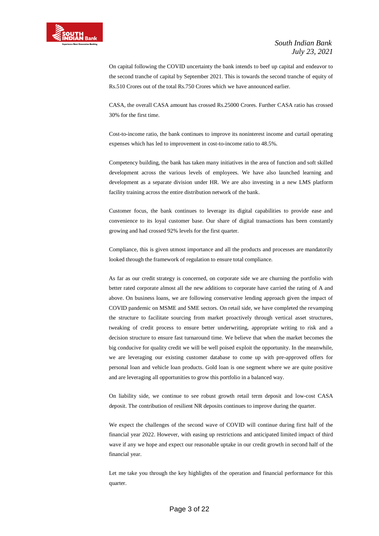

On capital following the COVID uncertainty the bank intends to beef up capital and endeavor to the second tranche of capital by September 2021. This is towards the second tranche of equity of Rs.510 Crores out of the total Rs.750 Crores which we have announced earlier.

CASA, the overall CASA amount has crossed Rs.25000 Crores. Further CASA ratio has crossed 30% for the first time.

Cost-to-income ratio, the bank continues to improve its noninterest income and curtail operating expenses which has led to improvement in cost-to-income ratio to 48.5%.

Competency building, the bank has taken many initiatives in the area of function and soft skilled development across the various levels of employees. We have also launched learning and development as a separate division under HR. We are also investing in a new LMS platform facility training across the entire distribution network of the bank.

Customer focus, the bank continues to leverage its digital capabilities to provide ease and convenience to its loyal customer base. Our share of digital transactions has been constantly growing and had crossed 92% levels for the first quarter.

Compliance, this is given utmost importance and all the products and processes are mandatorily looked through the framework of regulation to ensure total compliance.

As far as our credit strategy is concerned, on corporate side we are churning the portfolio with better rated corporate almost all the new additions to corporate have carried the rating of A and above. On business loans, we are following conservative lending approach given the impact of COVID pandemic on MSME and SME sectors. On retail side, we have completed the revamping the structure to facilitate sourcing from market proactively through vertical asset structures, tweaking of credit process to ensure better underwriting, appropriate writing to risk and a decision structure to ensure fast turnaround time. We believe that when the market becomes the big conducive for quality credit we will be well poised exploit the opportunity. In the meanwhile, we are leveraging our existing customer database to come up with pre-approved offers for personal loan and vehicle loan products. Gold loan is one segment where we are quite positive and are leveraging all opportunities to grow this portfolio in a balanced way.

On liability side, we continue to see robust growth retail term deposit and low-cost CASA deposit. The contribution of resilient NR deposits continues to improve during the quarter.

We expect the challenges of the second wave of COVID will continue during first half of the financial year 2022. However, with easing up restrictions and anticipated limited impact of third wave if any we hope and expect our reasonable uptake in our credit growth in second half of the financial year.

Let me take you through the key highlights of the operation and financial performance for this quarter.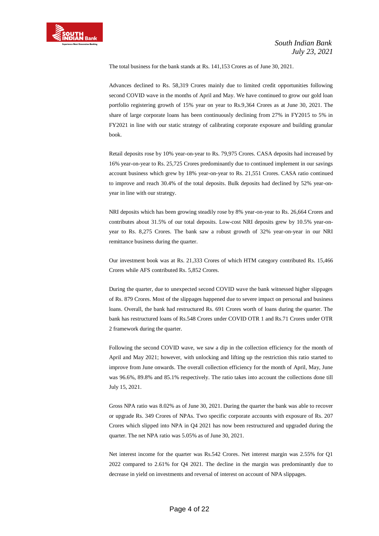The total business for the bank stands at Rs. 141,153 Crores as of June 30, 2021.

Advances declined to Rs. 58,319 Crores mainly due to limited credit opportunities following second COVID wave in the months of April and May. We have continued to grow our gold loan portfolio registering growth of 15% year on year to Rs.9,364 Crores as at June 30, 2021. The share of large corporate loans has been continuously declining from 27% in FY2015 to 5% in FY2021 in line with our static strategy of calibrating corporate exposure and building granular book.

Retail deposits rose by 10% year-on-year to Rs. 79,975 Crores. CASA deposits had increased by 16% year-on-year to Rs. 25,725 Crores predominantly due to continued implement in our savings account business which grew by 18% year-on-year to Rs. 21,551 Crores. CASA ratio continued to improve and reach 30.4% of the total deposits. Bulk deposits had declined by 52% year-onyear in line with our strategy.

NRI deposits which has been growing steadily rose by 8% year-on-year to Rs. 26,664 Crores and contributes about 31.5% of our total deposits. Low-cost NRI deposits grew by 10.5% year-onyear to Rs. 8,275 Crores. The bank saw a robust growth of 32% year-on-year in our NRI remittance business during the quarter.

Our investment book was at Rs. 21,333 Crores of which HTM category contributed Rs. 15,466 Crores while AFS contributed Rs. 5,852 Crores.

During the quarter, due to unexpected second COVID wave the bank witnessed higher slippages of Rs. 879 Crores. Most of the slippages happened due to severe impact on personal and business loans. Overall, the bank had restructured Rs. 691 Crores worth of loans during the quarter. The bank has restructured loans of Rs.548 Crores under COVID OTR 1 and Rs.71 Crores under OTR 2 framework during the quarter.

Following the second COVID wave, we saw a dip in the collection efficiency for the month of April and May 2021; however, with unlocking and lifting up the restriction this ratio started to improve from June onwards. The overall collection efficiency for the month of April, May, June was 96.6%, 89.8% and 85.1% respectively. The ratio takes into account the collections done till July 15, 2021.

Gross NPA ratio was 8.02% as of June 30, 2021. During the quarter the bank was able to recover or upgrade Rs. 349 Crores of NPAs. Two specific corporate accounts with exposure of Rs. 207 Crores which slipped into NPA in Q4 2021 has now been restructured and upgraded during the quarter. The net NPA ratio was 5.05% as of June 30, 2021.

Net interest income for the quarter was Rs.542 Crores. Net interest margin was 2.55% for Q1 2022 compared to 2.61% for Q4 2021. The decline in the margin was predominantly due to decrease in yield on investments and reversal of interest on account of NPA slippages.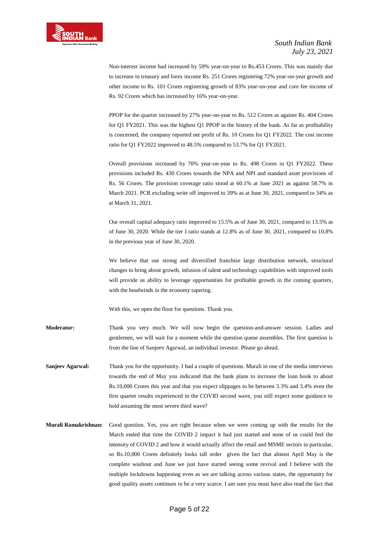

Non-interest income had increased by 59% year-on-year to Rs.453 Crores. This was mainly due to increase in treasury and forex income Rs. 251 Crores registering 72% year-on-year growth and other income to Rs. 101 Crores registering growth of 83% year-on-year and core fee income of Rs. 92 Crores which has increased by 16% year-on-year.

PPOP for the quarter increased by 27% year-on-year to Rs. 512 Crores as against Rs. 404 Crores for Q1 FY2021. This was the highest Q1 PPOP in the history of the bank. As far as profitability is concerned, the company reported net profit of Rs. 10 Crores for Q1 FY2022. The cost income ratio for Q1 FY2022 improved to 48.5% compared to 53.7% for Q1 FY2021.

Overall provisions increased by 70% year-on-year to Rs. 498 Crores in Q1 FY2022. These provisions included Rs. 430 Crores towards the NPA and NPI and standard asset provisions of Rs. 56 Crores. The provision coverage ratio stood at 60.1% at June 2021 as against 58.7% in March 2021. PCR excluding write off improved to 39% as at June 30, 2021, compared to 34% as at March 31, 2021.

Our overall capital adequacy ratio improved to 15.5% as of June 30, 2021, compared to 13.5% as of June 30, 2020. While the tier I ratio stands at 12.8% as of June 30, 2021, compared to 10.8% in the previous year of June 30, 2020.

We believe that our strong and diversified franchise large distribution network, structural changes to bring about growth, infusion of talent and technology capabilities with improved tools will provide us ability to leverage opportunities for profitable growth in the coming quarters, with the headwinds in the economy tapering.

With this, we open the floor for questions. Thank you.

- **Moderator:** Thank you very much. We will now begin the question-and-answer session. Ladies and gentlemen, we will wait for a moment while the question queue assembles. The first question is from the line of Sanjeev Agarwal, an individual investor. Please go ahead.
- **Sanjeev Agarwal:** Thank you for the opportunity. I had a couple of questions. Murali in one of the media interviews towards the end of May you indicated that the bank plans to increase the loan book to about Rs.10,000 Crores this year and that you expect slippages to be between 3.3% and 3.4% even the first quarter results experienced in the COVID second wave, you still expect some guidance to hold assuming the most severe third wave?
- **Murali Ramakrishnan:** Good question. Yes, you are right because when we were coming up with the results for the March ended that time the COVID 2 impact it had just started and none of us could feel the intensity of COVID 2 and how it would actually affect the retail and MSME sectors in particular, so Rs.10,000 Crores definitely looks tall order given the fact that almost April May is the complete washout and June we just have started seeing some revival and I believe with the multiple lockdowns happening even as we are talking across various states, the opportunity for good quality assets continues to be a very scarce. I am sure you must have also read the fact that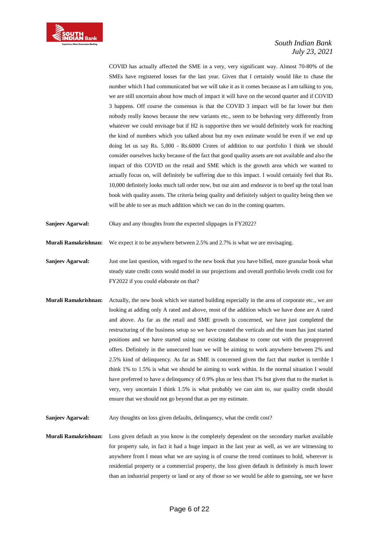

COVID has actually affected the SME in a very, very significant way. Almost 70-80% of the SMEs have registered losses for the last year. Given that I certainly would like to chase the number which I had communicated but we will take it as it comes because as I am talking to you, we are still uncertain about how much of impact it will have on the second quarter and if COVID 3 happens. Off course the consensus is that the COVID 3 impact will be far lower but then nobody really knows because the new variants etc., seem to be behaving very differently from whatever we could envisage but if H2 is supportive then we would definitely work for reaching the kind of numbers which you talked about but my own estimate would be even if we end up doing let us say Rs. 5,000 - Rs.6000 Crores of addition to our portfolio I think we should consider ourselves lucky because of the fact that good quality assets are not available and also the impact of this COVID on the retail and SME which is the growth area which we wanted to actually focus on, will definitely be suffering due to this impact. I would certainly feel that Rs. 10,000 definitely looks much tall order now, but our aim and endeavor is to beef up the total loan book with quality assets. The criteria being quality and definitely subject to quality being then we will be able to see as much addition which we can do in the coming quarters.

**Sanjeev Agarwal:** Okay and any thoughts from the expected slippages in FY2022?

**Murali Ramakrishnan:** We expect it to be anywhere between 2.5% and 2.7% is what we are envisaging.

- **Sanjeev Agarwal:** Just one last question, with regard to the new book that you have billed, more granular book what steady state credit costs would model in our projections and overall portfolio levels credit cost for FY2022 if you could elaborate on that?
- **Murali Ramakrishnan:** Actually, the new book which we started building especially in the area of corporate etc., we are looking at adding only A rated and above, most of the addition which we have done are A rated and above. As far as the retail and SME growth is concerned, we have just completed the restructuring of the business setup so we have created the verticals and the team has just started positions and we have started using our existing database to come out with the preapproved offers. Definitely in the unsecured loan we will be aiming to work anywhere between 2% and 2.5% kind of delinquency. As far as SME is concerned given the fact that market is terrible I think 1% to 1.5% is what we should be aiming to work within. In the normal situation I would have preferred to have a delinquency of 0.9% plus or less than 1% but given that to the market is very, very uncertain I think 1.5% is what probably we can aim to, our quality credit should ensure that we should not go beyond that as per my estimate.

**Sanjeev Agarwal:** Any thoughts on loss given defaults, delinquency, what the credit cost?

**Murali Ramakrishnan:** Loss given default as you know is the completely dependent on the secondary market available for property sale, in fact it had a huge impact in the last year as well, as we are witnessing to anywhere from I mean what we are saying is of course the trend continues to hold, wherever is residential property or a commercial property, the loss given default is definitely is much lower than an industrial property or land or any of those so we would be able to guessing, see we have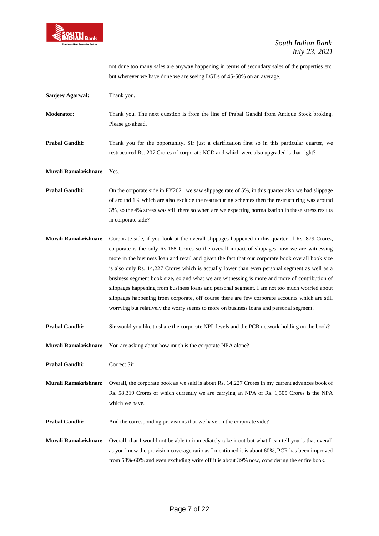

not done too many sales are anyway happening in terms of secondary sales of the properties etc. but wherever we have done we are seeing LGDs of 45-50% on an average.

| <b>Sanjeev Agarwal:</b> | Thank you.                                                                                                                                                                                                                                                                                                                                                                                                                                                                                                                                                                                                                                                                                                                                                                                              |
|-------------------------|---------------------------------------------------------------------------------------------------------------------------------------------------------------------------------------------------------------------------------------------------------------------------------------------------------------------------------------------------------------------------------------------------------------------------------------------------------------------------------------------------------------------------------------------------------------------------------------------------------------------------------------------------------------------------------------------------------------------------------------------------------------------------------------------------------|
| Moderator:              | Thank you. The next question is from the line of Prabal Gandhi from Antique Stock broking.<br>Please go ahead.                                                                                                                                                                                                                                                                                                                                                                                                                                                                                                                                                                                                                                                                                          |
| <b>Prabal Gandhi:</b>   | Thank you for the opportunity. Sir just a clarification first so in this particular quarter, we<br>restructured Rs. 207 Crores of corporate NCD and which were also upgraded is that right?                                                                                                                                                                                                                                                                                                                                                                                                                                                                                                                                                                                                             |
| Murali Ramakrishnan:    | Yes.                                                                                                                                                                                                                                                                                                                                                                                                                                                                                                                                                                                                                                                                                                                                                                                                    |
| <b>Prabal Gandhi:</b>   | On the corporate side in FY2021 we saw slippage rate of 5%, in this quarter also we had slippage<br>of around 1% which are also exclude the restructuring schemes then the restructuring was around<br>3%, so the 4% stress was still there so when are we expecting normalization in these stress results<br>in corporate side?                                                                                                                                                                                                                                                                                                                                                                                                                                                                        |
| Murali Ramakrishnan:    | Corporate side, if you look at the overall slippages happened in this quarter of Rs. 879 Crores,<br>corporate is the only Rs.168 Crores so the overall impact of slippages now we are witnessing<br>more in the business loan and retail and given the fact that our corporate book overall book size<br>is also only Rs. 14,227 Crores which is actually lower than even personal segment as well as a<br>business segment book size, so and what we are witnessing is more and more of contribution of<br>slippages happening from business loans and personal segment. I am not too much worried about<br>slippages happening from corporate, off course there are few corporate accounts which are still<br>worrying but relatively the worry seems to more on business loans and personal segment. |
| <b>Prabal Gandhi:</b>   | Sir would you like to share the corporate NPL levels and the PCR network holding on the book?                                                                                                                                                                                                                                                                                                                                                                                                                                                                                                                                                                                                                                                                                                           |
| Murali Ramakrishnan:    | You are asking about how much is the corporate NPA alone?                                                                                                                                                                                                                                                                                                                                                                                                                                                                                                                                                                                                                                                                                                                                               |
| <b>Prabal Gandhi:</b>   | Correct Sir.                                                                                                                                                                                                                                                                                                                                                                                                                                                                                                                                                                                                                                                                                                                                                                                            |
| Murali Ramakrishnan:    | Overall, the corporate book as we said is about Rs. 14,227 Crores in my current advances book of<br>Rs. 58,319 Crores of which currently we are carrying an NPA of Rs. 1,505 Crores is the NPA<br>which we have.                                                                                                                                                                                                                                                                                                                                                                                                                                                                                                                                                                                        |
| Prabal Gandhi:          | And the corresponding provisions that we have on the corporate side?                                                                                                                                                                                                                                                                                                                                                                                                                                                                                                                                                                                                                                                                                                                                    |
| Murali Ramakrishnan:    | Overall, that I would not be able to immediately take it out but what I can tell you is that overall<br>as you know the provision coverage ratio as I mentioned it is about 60%, PCR has been improved<br>from 58%-60% and even excluding write off it is about 39% now, considering the entire book.                                                                                                                                                                                                                                                                                                                                                                                                                                                                                                   |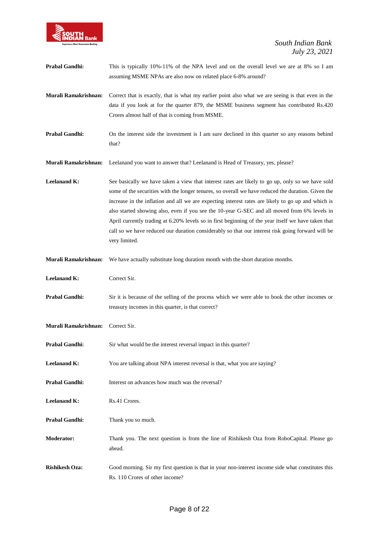

| <b>Prabal Gandhi:</b> | This is typically 10%-11% of the NPA level and on the overall level we are at 8% so I am |
|-----------------------|------------------------------------------------------------------------------------------|
|                       | assuming MSME NPAs are also now on related place 6-8% around?                            |

**Murali Ramakrishnan:** Correct that is exactly, that is what my earlier point also what we are seeing is that even in the data if you look at for the quarter 879, the MSME business segment has contributed Rs.420 Crores almost half of that is coming from MSME.

**Prabal Gandhi:** On the interest side the investment is I am sure declined in this quarter so any reasons behind that?

**Murali Ramakrishnan:** Leelanand you want to answer that? Leelanand is Head of Treasury, yes, please?

**Leelanand K:** See basically we have taken a view that interest rates are likely to go up, only so we have sold some of the securities with the longer tenures, so overall we have reduced the duration. Given the increase in the inflation and all we are expecting interest rates are likely to go up and which is also started showing also, even if you see the 10-year G-SEC and all moved from 6% levels in April currently trading at 6.20% levels so in first beginning of the year itself we have taken that call so we have reduced our duration considerably so that our interest risk going forward will be very limited.

**Murali Ramakrishnan:** We have actually substitute long duration month with the short duration months.

**Leelanand K:** Correct Sir.

**Prabal Gandhi:** Sir it is because of the selling of the process which we were able to book the other incomes or treasury incomes in this quarter, is that correct?

**Murali Ramakrishnan:** Correct Sir.

- **Prabal Gandhi:** Sir what would be the interest reversal impact in this quarter?
- Leelanand K: You are talking about NPA interest reversal is that, what you are saying?
- **Prabal Gandhi:** Interest on advances how much was the reversal?

**Leelanand K:** Rs.41 Crores.

- Prabal Gandhi: Thank you so much.
- **Moderator:** Thank you. The next question is from the line of Rishikesh Oza from RoboCapital. Please go ahead.
- **Rishikesh Oza:** Good morning. Sir my first question is that in your non-interest income side what constitutes this Rs. 110 Crores of other income?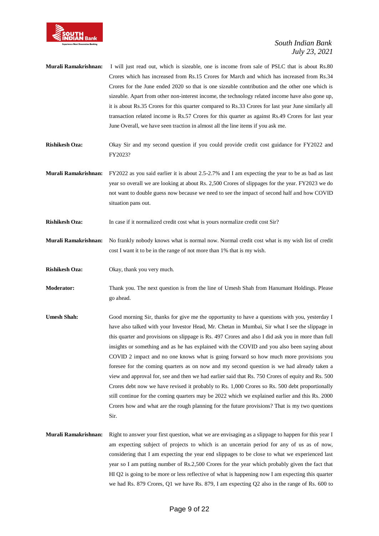

- **Murali Ramakrishnan:** I will just read out, which is sizeable, one is income from sale of PSLC that is about Rs.80 Crores which has increased from Rs.15 Crores for March and which has increased from Rs.34 Crores for the June ended 2020 so that is one sizeable contribution and the other one which is sizeable. Apart from other non-interest income, the technology related income have also gone up, it is about Rs.35 Crores for this quarter compared to Rs.33 Crores for last year June similarly all transaction related income is Rs.57 Crores for this quarter as against Rs.49 Crores for last year June Overall, we have seen traction in almost all the line items if you ask me.
- **Rishikesh Oza:** Okay Sir and my second question if you could provide credit cost guidance for FY2022 and FY2023?
- **Murali Ramakrishnan:** FY2022 as you said earlier it is about 2.5-2.7% and I am expecting the year to be as bad as last year so overall we are looking at about Rs. 2,500 Crores of slippages for the year. FY2023 we do not want to double guess now because we need to see the impact of second half and how COVID situation pans out.
- **Rishikesh Oza:** In case if it normalized credit cost what is yours normalize credit cost Sir?
- **Murali Ramakrishnan:** No frankly nobody knows what is normal now. Normal credit cost what is my wish list of credit cost I want it to be in the range of not more than 1% that is my wish.
- **Rishikesh Oza:** Okay, thank you very much.
- **Moderator:** Thank you. The next question is from the line of Umesh Shah from Hanumant Holdings. Please go ahead.
- **Umesh Shah:** Good morning Sir, thanks for give me the opportunity to have a questions with you, yesterday I have also talked with your Investor Head, Mr. Chetan in Mumbai, Sir what I see the slippage in this quarter and provisions on slippage is Rs. 497 Crores and also I did ask you in more than full insights or something and as he has explained with the COVID and you also been saying about COVID 2 impact and no one knows what is going forward so how much more provisions you foresee for the coming quarters as on now and my second question is we had already taken a view and approval for, see and then we had earlier said that Rs. 750 Crores of equity and Rs. 500 Crores debt now we have revised it probably to Rs. 1,000 Crores so Rs. 500 debt proportionally still continue for the coming quarters may be 2022 which we explained earlier and this Rs. 2000 Crores how and what are the rough planning for the future provisions? That is my two questions Sir.
- **Murali Ramakrishnan:** Right to answer your first question, what we are envisaging as a slippage to happen for this year I am expecting subject of projects to which is an uncertain period for any of us as of now, considering that I am expecting the year end slippages to be close to what we experienced last year so I am putting number of Rs.2,500 Crores for the year which probably given the fact that HI Q2 is going to be more or less reflective of what is happening now I am expecting this quarter we had Rs. 879 Crores, Q1 we have Rs. 879, I am expecting Q2 also in the range of Rs. 600 to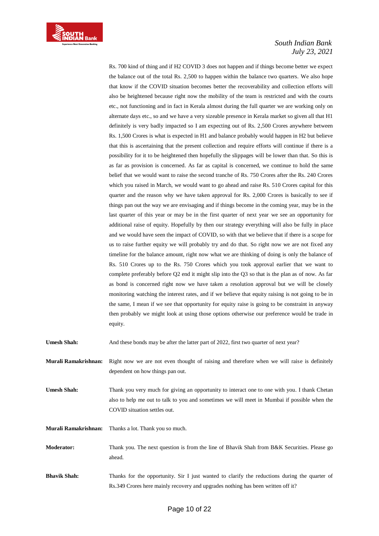

Rs. 700 kind of thing and if H2 COVID 3 does not happen and if things become better we expect the balance out of the total Rs. 2,500 to happen within the balance two quarters. We also hope that know if the COVID situation becomes better the recoverability and collection efforts will also be heightened because right now the mobility of the team is restricted and with the courts etc., not functioning and in fact in Kerala almost during the full quarter we are working only on alternate days etc., so and we have a very sizeable presence in Kerala market so given all that H1 definitely is very badly impacted so I am expecting out of Rs. 2,500 Crores anywhere between Rs. 1,500 Crores is what is expected in H1 and balance probably would happen in H2 but believe that this is ascertaining that the present collection and require efforts will continue if there is a possibility for it to be heightened then hopefully the slippages will be lower than that. So this is as far as provision is concerned. As far as capital is concerned, we continue to hold the same belief that we would want to raise the second tranche of Rs. 750 Crores after the Rs. 240 Crores which you raised in March, we would want to go ahead and raise Rs. 510 Crores capital for this quarter and the reason why we have taken approval for Rs. 2,000 Crores is basically to see if things pan out the way we are envisaging and if things become in the coming year, may be in the last quarter of this year or may be in the first quarter of next year we see an opportunity for additional raise of equity. Hopefully by then our strategy everything will also be fully in place and we would have seen the impact of COVID, so with that we believe that if there is a scope for us to raise further equity we will probably try and do that. So right now we are not fixed any timeline for the balance amount, right now what we are thinking of doing is only the balance of Rs. 510 Crores up to the Rs. 750 Crores which you took approval earlier that we want to complete preferably before Q2 end it might slip into the Q3 so that is the plan as of now. As far as bond is concerned right now we have taken a resolution approval but we will be closely monitoring watching the interest rates, and if we believe that equity raising is not going to be in the same, I mean if we see that opportunity for equity raise is going to be constraint in anyway then probably we might look at using those options otherwise our preference would be trade in equity.

| <b>Umesh Shah:</b>   | And these bonds may be after the latter part of 2022, first two quarter of next year?                                                                                                                                         |
|----------------------|-------------------------------------------------------------------------------------------------------------------------------------------------------------------------------------------------------------------------------|
| Murali Ramakrishnan: | Right now we are not even thought of raising and therefore when we will raise is definitely<br>dependent on how things pan out.                                                                                               |
| <b>Umesh Shah:</b>   | Thank you very much for giving an opportunity to interact one to one with you. I thank Chetan<br>also to help me out to talk to you and sometimes we will meet in Mumbai if possible when the<br>COVID situation settles out. |
| Murali Ramakrishnan: | Thanks a lot. Thank you so much.                                                                                                                                                                                              |
| <b>Moderator:</b>    | Thank you. The next question is from the line of Bhavik Shah from B&K Securities. Please go<br>ahead.                                                                                                                         |
| <b>Bhavik Shah:</b>  | Thanks for the opportunity. Sir I just wanted to clarify the reductions during the quarter of<br>Rs.349 Crores here mainly recovery and upgrades nothing has been written off it?                                             |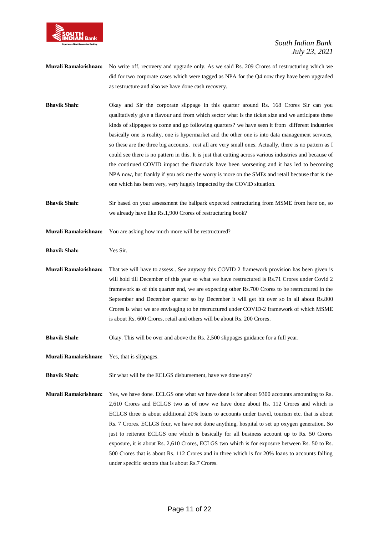

- **Murali Ramakrishnan:** No write off, recovery and upgrade only. As we said Rs. 209 Crores of restructuring which we did for two corporate cases which were tagged as NPA for the Q4 now they have been upgraded as restructure and also we have done cash recovery.
- **Bhavik Shah:** Okay and Sir the corporate slippage in this quarter around Rs. 168 Crores Sir can you qualitatively give a flavour and from which sector what is the ticket size and we anticipate these kinds of slippages to come and go following quarters? we have seen it from different industries basically one is reality, one is hypermarket and the other one is into data management services, so these are the three big accounts. rest all are very small ones. Actually, there is no pattern as I could see there is no pattern in this. It is just that cutting across various industries and because of the continued COVID impact the financials have been worsening and it has led to becoming NPA now, but frankly if you ask me the worry is more on the SMEs and retail because that is the one which has been very, very hugely impacted by the COVID situation.
- **Bhavik Shah:** Sir based on your assessment the ballpark expected restructuring from MSME from here on, so we already have like Rs.1,900 Crores of restructuring book?
- **Murali Ramakrishnan:** You are asking how much more will be restructured?

**Bhavik Shah:** Yes Sir.

**Murali Ramakrishnan:** That we will have to assess.. See anyway this COVID 2 framework provision has been given is will hold till December of this year so what we have restructured is Rs.71 Crores under Covid 2 framework as of this quarter end, we are expecting other Rs.700 Crores to be restructured in the September and December quarter so by December it will get bit over so in all about Rs.800 Crores is what we are envisaging to be restructured under COVID-2 framework of which MSME is about Rs. 600 Crores, retail and others will be about Rs. 200 Crores.

**Bhavik Shah:** Okay. This will be over and above the Rs. 2,500 slippages guidance for a full year.

**Murali Ramakrishnan:** Yes, that is slippages.

**Bhavik Shah:** Sir what will be the ECLGS disbursement, have we done any?

**Murali Ramakrishnan:** Yes, we have done. ECLGS one what we have done is for about 9300 accounts amounting to Rs. 2,610 Crores and ECLGS two as of now we have done about Rs. 112 Crores and which is ECLGS three is about additional 20% loans to accounts under travel, tourism etc. that is about Rs. 7 Crores. ECLGS four, we have not done anything, hospital to set up oxygen generation. So just to reiterate ECLGS one which is basically for all business account up to Rs. 50 Crores exposure, it is about Rs. 2,610 Crores, ECLGS two which is for exposure between Rs. 50 to Rs. 500 Crores that is about Rs. 112 Crores and in three which is for 20% loans to accounts falling under specific sectors that is about Rs.7 Crores.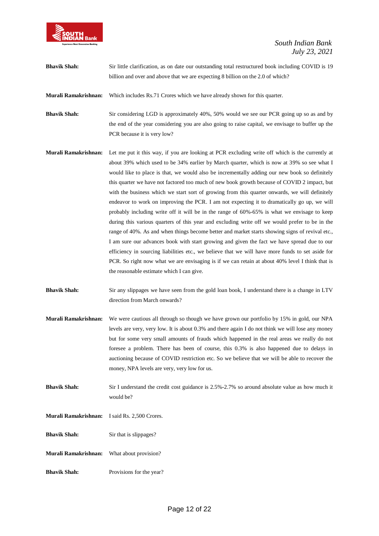

**Bhavik Shah:** Sir little clarification, as on date our outstanding total restructured book including COVID is 19 billion and over and above that we are expecting 8 billion on the 2.0 of which?

**Murali Ramakrishnan:** Which includes Rs.71 Crores which we have already shown for this quarter.

**Bhavik Shah:** Sir considering LGD is approximately 40%, 50% would we see our PCR going up so as and by the end of the year considering you are also going to raise capital, we envisage to buffer up the PCR because it is very low?

- **Murali Ramakrishnan:** Let me put it this way, if you are looking at PCR excluding write off which is the currently at about 39% which used to be 34% earlier by March quarter, which is now at 39% so see what I would like to place is that, we would also be incrementally adding our new book so definitely this quarter we have not factored too much of new book growth because of COVID 2 impact, but with the business which we start sort of growing from this quarter onwards, we will definitely endeavor to work on improving the PCR. I am not expecting it to dramatically go up, we will probably including write off it will be in the range of 60%-65% is what we envisage to keep during this various quarters of this year and excluding write off we would prefer to be in the range of 40%. As and when things become better and market starts showing signs of revival etc., I am sure our advances book with start growing and given the fact we have spread due to our efficiency in sourcing liabilities etc., we believe that we will have more funds to set aside for PCR. So right now what we are envisaging is if we can retain at about 40% level I think that is the reasonable estimate which I can give.
- **Bhavik Shah:** Sir any slippages we have seen from the gold loan book, I understand there is a change in LTV direction from March onwards?
- **Murali Ramakrishnan:** We were cautious all through so though we have grown our portfolio by 15% in gold, our NPA levels are very, very low. It is about 0.3% and there again I do not think we will lose any money but for some very small amounts of frauds which happened in the real areas we really do not foresee a problem. There has been of course, this 0.3% is also happened due to delays in auctioning because of COVID restriction etc. So we believe that we will be able to recover the money, NPA levels are very, very low for us.
- **Bhavik Shah:** Sir I understand the credit cost guidance is 2.5%-2.7% so around absolute value as how much it would be?
- **Murali Ramakrishnan:** I said Rs. 2,500 Crores.
- **Bhavik Shah:** Sir that is slippages?
- **Murali Ramakrishnan:** What about provision?
- **Bhavik Shah:** Provisions for the year?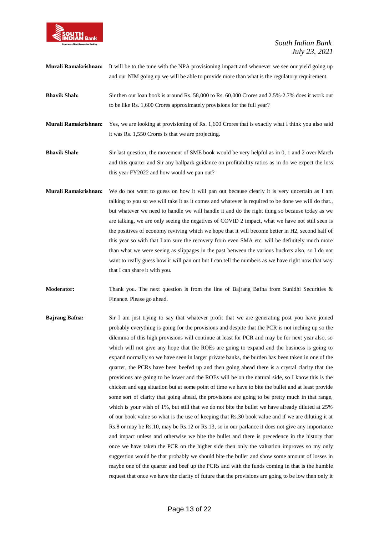

**Murali Ramakrishnan:** It will be to the tune with the NPA provisioning impact and whenever we see our yield going up and our NIM going up we will be able to provide more than what is the regulatory requirement.

- **Bhavik Shah:** Sir then our loan book is around Rs. 58,000 to Rs. 60,000 Crores and 2.5%-2.7% does it work out to be like Rs. 1,600 Crores approximately provisions for the full year?
- **Murali Ramakrishnan:** Yes, we are looking at provisioning of Rs. 1,600 Crores that is exactly what I think you also said it was Rs. 1,550 Crores is that we are projecting.
- **Bhavik Shah:** Sir last question, the movement of SME book would be very helpful as in 0, 1 and 2 over March and this quarter and Sir any ballpark guidance on profitability ratios as in do we expect the loss this year FY2022 and how would we pan out?
- **Murali Ramakrishnan:** We do not want to guess on how it will pan out because clearly it is very uncertain as I am talking to you so we will take it as it comes and whatever is required to be done we will do that., but whatever we need to handle we will handle it and do the right thing so because today as we are talking, we are only seeing the negatives of COVID 2 impact, what we have not still seen is the positives of economy reviving which we hope that it will become better in H2, second half of this year so with that I am sure the recovery from even SMA etc. will be definitely much more than what we were seeing as slippages in the past between the various buckets also, so I do not want to really guess how it will pan out but I can tell the numbers as we have right now that way that I can share it with you.
- **Moderator:** Thank you. The next question is from the line of Bajrang Bafna from Sunidhi Securities & Finance. Please go ahead.
- **Bajrang Bafna:** Sir I am just trying to say that whatever profit that we are generating post you have joined probably everything is going for the provisions and despite that the PCR is not inching up so the dilemma of this high provisions will continue at least for PCR and may be for next year also, so which will not give any hope that the ROEs are going to expand and the business is going to expand normally so we have seen in larger private banks, the burden has been taken in one of the quarter, the PCRs have been beefed up and then going ahead there is a crystal clarity that the provisions are going to be lower and the ROEs will be on the natural side, so I know this is the chicken and egg situation but at some point of time we have to bite the bullet and at least provide some sort of clarity that going ahead, the provisions are going to be pretty much in that range, which is your wish of 1%, but still that we do not bite the bullet we have already diluted at 25% of our book value so what is the use of keeping that Rs.30 book value and if we are diluting it at Rs.8 or may be Rs.10, may be Rs.12 or Rs.13, so in our parlance it does not give any importance and impact unless and otherwise we bite the bullet and there is precedence in the history that once we have taken the PCR on the higher side then only the valuation improves so my only suggestion would be that probably we should bite the bullet and show some amount of losses in maybe one of the quarter and beef up the PCRs and with the funds coming in that is the humble request that once we have the clarity of future that the provisions are going to be low then only it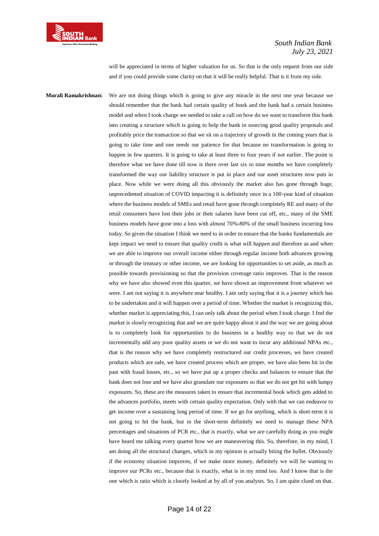

will be appreciated in terms of higher valuation for us. So that is the only request from our side and if you could provide some clarity on that it will be really helpful. That is it from my side.

**Murali Ramakrishnan:** We are not doing things which is going to give any miracle in the next one year because we should remember that the bank had certain quality of book and the bank had a certain business model and when I took charge we needed to take a call on how do we want to transform this bank into creating a structure which is going to help the bank in sourcing good quality proposals and profitably price the transaction so that we sit on a trajectory of growth in the coming years that is going to take time and one needs our patience for that because no transformation is going to happen in few quarters. It is going to take at least three to four years if not earlier. The point is therefore what we have done till now is there over last six to nine months we have completely transformed the way our liability structure is put in place and our asset structures now puts in place. Now while we were doing all this obviously the market also has gone through huge, unprecedented situation of COVID impacting it is definitely once in a 100-year kind of situation where the business models of SMEs and retail have gone through completely RE and many of the retail consumers have lost their jobs or their salaries have been cut off, etc., many of the SME business models have gone into a loss with almost 70%-80% of the small business incurring loss today. So given the situation I think we need to in order to ensure that the banks fundamentals are kept impact we need to ensure that quality credit is what will happen and therefore as and when we are able to improve our overall income either through regular income both advances growing or through the treasury or other income, we are looking for opportunities to set aside, as much as possible towards provisioning so that the provision coverage ratio improves. That is the reason why we have also showed even this quarter, we have shown an improvement from whatever we were. I am not saying it is anywhere near healthy. I am only saying that it is a journey which has to be undertaken and it will happen over a period of time. Whether the market is recognizing this, whether market is appreciating this, I can only talk about the period when I took charge. I feel the market is slowly recognizing that and we are quite happy about it and the way we are going about is to completely look for opportunities to do business in a healthy way so that we do not incrementally add any poor quality assets or we do not want to incur any additional NPAs etc., that is the reason why we have completely restructured our credit processes, we have created products which are safe, we have created process which are proper, we have also been hit in the past with fraud losses, etc., so we have put up a proper checks and balances to ensure that the bank does not lose and we have also granulate our exposures so that we do not get hit with lumpy exposures. So, these are the measures taken to ensure that incremental book which gets added to the advances portfolio, meets with certain quality expectation. Only with that we can endeavor to get income over a sustaining long period of time. If we go for anything, which is short-term it is not going to hit the bank, but in the short-term definitely we need to manage these NPA percentages and situations of PCR etc., that is exactly, what we are carefully doing as you might have heard me talking every quarter how we are maneuvering this. So, therefore, in my mind, I am doing all the structural changes, which in my opinion is actually biting the bullet. Obviously if the economy situation improves, if we make more money, definitely we will be wanting to improve our PCRs etc., because that is exactly, what is in my mind too. And I know that is the one which is ratio which is closely looked at by all of you analysts. So, I am quite clued on that.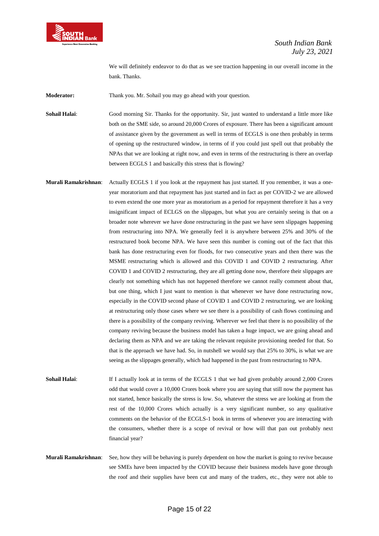

We will definitely endeavor to do that as we see traction happening in our overall income in the bank. Thanks.

**Moderator:** Thank you. Mr. Sohail you may go ahead with your question.

**Sohail Halai**: Good morning Sir. Thanks for the opportunity. Sir, just wanted to understand a little more like both on the SME side, so around 20,000 Crores of exposure. There has been a significant amount of assistance given by the government as well in terms of ECGLS is one then probably in terms of opening up the restructured window, in terms of if you could just spell out that probably the NPAs that we are looking at right now, and even in terms of the restructuring is there an overlap between ECGLS 1 and basically this stress that is flowing?

**Murali Ramakrishnan**: Actually ECGLS 1 if you look at the repayment has just started. If you remember, it was a oneyear moratorium and that repayment has just started and in fact as per COVID-2 we are allowed to even extend the one more year as moratorium as a period for repayment therefore it has a very insignificant impact of ECLGS on the slippages, but what you are certainly seeing is that on a broader note wherever we have done restructuring in the past we have seen slippages happening from restructuring into NPA. We generally feel it is anywhere between 25% and 30% of the restructured book become NPA. We have seen this number is coming out of the fact that this bank has done restructuring even for floods, for two consecutive years and then there was the MSME restructuring which is allowed and this COVID 1 and COVID 2 restructuring. After COVID 1 and COVID 2 restructuring, they are all getting done now, therefore their slippages are clearly not something which has not happened therefore we cannot really comment about that, but one thing, which I just want to mention is that whenever we have done restructuring now, especially in the COVID second phase of COVID 1 and COVID 2 restructuring, we are looking at restructuring only those cases where we see there is a possibility of cash flows continuing and there is a possibility of the company reviving. Wherever we feel that there is no possibility of the company reviving because the business model has taken a huge impact, we are going ahead and declaring them as NPA and we are taking the relevant requisite provisioning needed for that. So that is the approach we have had. So, in nutshell we would say that 25% to 30%, is what we are seeing as the slippages generally, which had happened in the past from restructuring to NPA.

**Sohail Halai**: If I actually look at in terms of the ECGLS 1 that we had given probably around 2,000 Crores odd that would cover a 10,000 Crores book where you are saying that still now the payment has not started, hence basically the stress is low. So, whatever the stress we are looking at from the rest of the 10,000 Crores which actually is a very significant number, so any qualitative comments on the behavior of the ECGLS-1 book in terms of whenever you are interacting with the consumers, whether there is a scope of revival or how will that pan out probably next financial year?

**Murali Ramakrishnan**: See, how they will be behaving is purely dependent on how the market is going to revive because see SMEs have been impacted by the COVID because their business models have gone through the roof and their supplies have been cut and many of the traders, etc., they were not able to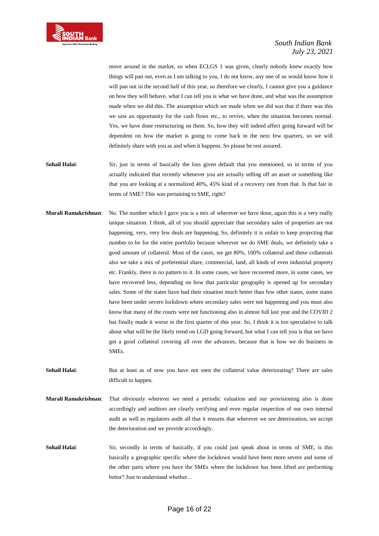

move around in the market, so when ECLGS 1 was given, clearly nobody knew exactly how things will pan out, even as I am talking to you, I do not know, any one of us would know how it will pan out in the second half of this year, so therefore we clearly, I cannot give you a guidance on how they will behave, what I can tell you is what we have done, and what was the assumption made when we did this. The assumption which we made when we did was that if there was this we saw an opportunity for the cash flows etc., to revive, when the situation becomes normal. Yes, we have done restructuring on them. So, how they will indeed affect going forward will be dependent on how the market is going to come back in the next few quarters, so we will definitely share with you as and when it happens. So please be rest assured.

- **Sohail Halai**: Sir, just in terms of basically the loss given default that you mentioned, so in terms of you actually indicated that recently whenever you are actually selling off an asset or something like that you are looking at a normalized 40%, 45% kind of a recovery rate from that. Is that fair in terms of SME? This was pertaining to SME, right?
- **Murali Ramakrishnan**: No. The number which I gave you is a mix of wherever we have done, again this is a very really unique situation. I think, all of you should appreciate that secondary sales of properties are not happening, very, very few deals are happening. So, definitely it is unfair to keep projecting that number to be for the entire portfolio because wherever we do SME deals, we definitely take a good amount of collateral. Most of the cases, we get 80%, 100% collateral and these collaterals also we take a mix of preferential share, commercial, land, all kinds of even industrial property etc. Frankly, there is no pattern to it. In some cases, we have recovered more, in some cases, we have recovered less, depending on how that particular geography is opened up for secondary sales. Some of the states have had their situation much better than few other states, some states have been under severe lockdown where secondary sales were not happening and you must also know that many of the courts were not functioning also in almost full last year and the COVID 2 has finally made it worse in the first quarter of this year. So, I think it is too speculative to talk about what will be the likely trend on LGD going forward, but what I can tell you is that we have got a good collateral covering all over the advances, because that is how we do business in SMEs.
- **Sohail Halai**: But at least as of now you have not seen the collateral value deteriorating? There are sales difficult to happen.
- **Murali Ramakrishnan**: That obviously wherever we need a periodic valuation and our provisioning also is done accordingly and auditors are clearly verifying and even regular inspection of our own internal audit as well as regulators audit all that it ensures that wherever we see deterioration, we accept the deterioration and we provide accordingly.
- **Sohail Halai**: Sir, secondly in terms of basically, if you could just speak about in terms of SME, is this basically a geographic specific where the lockdown would have been more severe and some of the other parts where you have the SMEs where the lockdown has been lifted are performing better? Just to understand whether…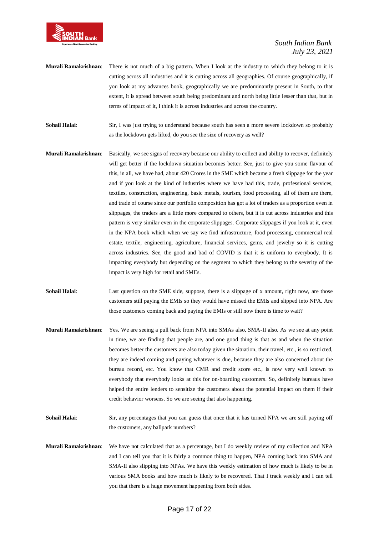

- **Murali Ramakrishnan**: There is not much of a big pattern. When I look at the industry to which they belong to it is cutting across all industries and it is cutting across all geographies. Of course geographically, if you look at my advances book, geographically we are predominantly present in South, to that extent, it is spread between south being predominant and north being little lesser than that, but in terms of impact of it, I think it is across industries and across the country.
- **Sohail Halai**: Sir, I was just trying to understand because south has seen a more severe lockdown so probably as the lockdown gets lifted, do you see the size of recovery as well?
- **Murali Ramakrishnan**: Basically, we see signs of recovery because our ability to collect and ability to recover, definitely will get better if the lockdown situation becomes better. See, just to give you some flavour of this, in all, we have had, about 420 Crores in the SME which became a fresh slippage for the year and if you look at the kind of industries where we have had this, trade, professional services, textiles, construction, engineering, basic metals, tourism, food processing, all of them are there, and trade of course since our portfolio composition has got a lot of traders as a proportion even in slippages, the traders are a little more compared to others, but it is cut across industries and this pattern is very similar even in the corporate slippages. Corporate slippages if you look at it, even in the NPA book which when we say we find infrastructure, food processing, commercial real estate, textile, engineering, agriculture, financial services, gems, and jewelry so it is cutting across industries. See, the good and bad of COVID is that it is uniform to everybody. It is impacting everybody but depending on the segment to which they belong to the severity of the impact is very high for retail and SMEs.
- **Sohail Halai**: Last question on the SME side, suppose, there is a slippage of x amount, right now, are those customers still paying the EMIs so they would have missed the EMIs and slipped into NPA. Are those customers coming back and paying the EMIs or still now there is time to wait?
- **Murali Ramakrishnan**: Yes. We are seeing a pull back from NPA into SMAs also, SMA-II also. As we see at any point in time, we are finding that people are, and one good thing is that as and when the situation becomes better the customers are also today given the situation, their travel, etc., is so restricted, they are indeed coming and paying whatever is due, because they are also concerned about the bureau record, etc. You know that CMR and credit score etc., is now very well known to everybody that everybody looks at this for on-boarding customers. So, definitely bureaus have helped the entire lenders to sensitize the customers about the potential impact on them if their credit behavior worsens. So we are seeing that also happening.
- **Sohail Halai**: Sir, any percentages that you can guess that once that it has turned NPA we are still paying off the customers, any ballpark numbers?
- **Murali Ramakrishnan**: We have not calculated that as a percentage, but I do weekly review of my collection and NPA and I can tell you that it is fairly a common thing to happen, NPA coming back into SMA and SMA-II also slipping into NPAs. We have this weekly estimation of how much is likely to be in various SMA books and how much is likely to be recovered. That I track weekly and I can tell you that there is a huge movement happening from both sides.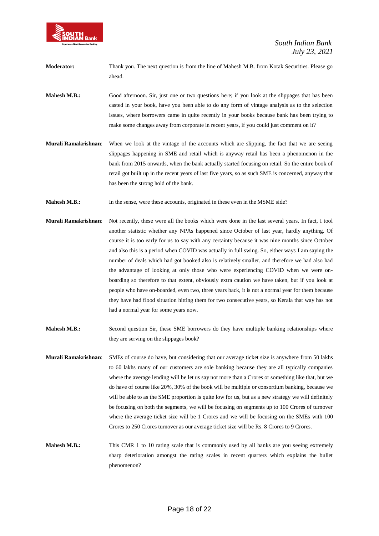

- **Moderator:** Thank you. The next question is from the line of Mahesh M.B. from Kotak Securities. Please go ahead.
- **Mahesh M.B.:** Good afternoon. Sir, just one or two questions here; if you look at the slippages that has been casted in your book, have you been able to do any form of vintage analysis as to the selection issues, where borrowers came in quite recently in your books because bank has been trying to make some changes away from corporate in recent years, if you could just comment on it?
- **Murali Ramakrishnan**: When we look at the vintage of the accounts which are slipping, the fact that we are seeing slippages happening in SME and retail which is anyway retail has been a phenomenon in the bank from 2015 onwards, when the bank actually started focusing on retail. So the entire book of retail got built up in the recent years of last five years, so as such SME is concerned, anyway that has been the strong hold of the bank.
- **Mahesh M.B.:** In the sense, were these accounts, originated in these even in the MSME side?
- **Murali Ramakrishnan**: Not recently, these were all the books which were done in the last several years. In fact, I tool another statistic whether any NPAs happened since October of last year, hardly anything. Of course it is too early for us to say with any certainty because it was nine months since October and also this is a period when COVID was actually in full swing. So, either ways I am saying the number of deals which had got booked also is relatively smaller, and therefore we had also had the advantage of looking at only those who were experiencing COVID when we were onboarding so therefore to that extent, obviously extra caution we have taken, but if you look at people who have on-boarded, even two, three years back, it is not a normal year for them because they have had flood situation hitting them for two consecutive years, so Kerala that way has not had a normal year for some years now.
- **Mahesh M.B.:** Second question Sir, these SME borrowers do they have multiple banking relationships where they are serving on the slippages book?
- **Murali Ramakrishnan**: SMEs of course do have, but considering that our average ticket size is anywhere from 50 lakhs to 60 lakhs many of our customers are sole banking because they are all typically companies where the average lending will be let us say not more than a Crores or something like that, but we do have of course like 20%, 30% of the book will be multiple or consortium banking, because we will be able to as the SME proportion is quite low for us, but as a new strategy we will definitely be focusing on both the segments, we will be focusing on segments up to 100 Crores of turnover where the average ticket size will be 1 Crores and we will be focusing on the SMEs with 100 Crores to 250 Crores turnover as our average ticket size will be Rs. 8 Crores to 9 Crores.
- **Mahesh M.B.:** This CMR 1 to 10 rating scale that is commonly used by all banks are you seeing extremely sharp deterioration amongst the rating scales in recent quarters which explains the bullet phenomenon?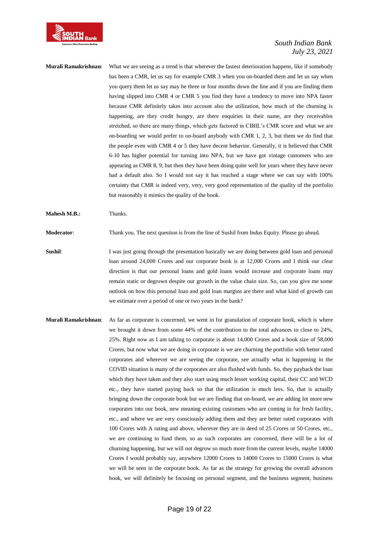

### **Murali Ramakrishnan**: What we are seeing as a trend is that wherever the fastest deterioration happens, like if somebody has been a CMR, let us say for example CMR 3 when you on-boarded them and let us say when you query them let us say may be three or four months down the line and if you are finding them having slipped into CMR 4 or CMR 5 you find they have a tendency to move into NPA faster because CMR definitely takes into account also the utilization, how much of the churning is happening, are they credit hungry, are there enquiries in their name, are they receivables stretched, so there are many things, which gets factored in CIBIL's CMR score and what we are on-boarding we would prefer to on-board anybody with CMR 1, 2, 3, but them we do find that the people even with CMR 4 or 5 they have decent behavior. Generally, it is believed that CMR 6-10 has higher potential for turning into NPA, but we have got vintage customers who are appearing as CMR 8, 9, but then they have been doing quite well for years where they have never had a default also. So I would not say it has reached a stage where we can say with 100% certainty that CMR is indeed very, very, very good representation of the quality of the portfolio but reasonably it mimics the quality of the book.

**Mahesh M.B.:** Thanks.

**Moderator**: Thank you. The next question is from the line of Sushil from Indus Equity. Please go ahead.

- **Sushil:** I was just going through the presentation basically we are doing between gold loan and personal loan around 24,000 Crores and our corporate book is at 12,000 Crores and I think our clear direction is that our personal loans and gold loans would increase and corporate loans may remain static or degrown despite our growth in the value chain size. So, can you give me some outlook on how this personal loan and gold loan margins are there and what kind of growth can we estimate over a period of one or two years in the bank?
- **Murali Ramakrishnan**: As far as corporate is concerned, we went in for granulation of corporate book, which is where we brought it down from some 44% of the contribution to the total advances to close to 24%, 25%. Right now as I am talking to corporate is about 14,000 Crores and a book size of 58,000 Crores, but now what we are doing in corporate is we are churning the portfolio with better rated corporates and wherever we are seeing the corporate, see actually what is happening in the COVID situation is many of the corporates are also flushed with funds. So, they payback the loan which they have taken and they also start using much lesser working capital, their CC and WCD etc., they have started paying back so that the utilization is much less. So, that is actually bringing down the corporate book but we are finding that on-board, we are adding lot more new corporates into our book, new meaning existing customers who are coming in for fresh facility, etc., and where we are very consciously adding them and they are better rated corporates with 100 Crores with A rating and above, wherever they are in deed of 25 Crores or 50 Crores, etc., we are continuing to fund them, so as such corporates are concerned, there will be a lot of churning happening, but we will not degrow so much more from the current levels, maybe 14000 Crores I would probably say, anywhere 12000 Crores to 14000 Crores to 15000 Crores is what we will be seen in the corporate book. As far as the strategy for growing the overall advances book, we will definitely be focusing on personal segment, and the business segment, business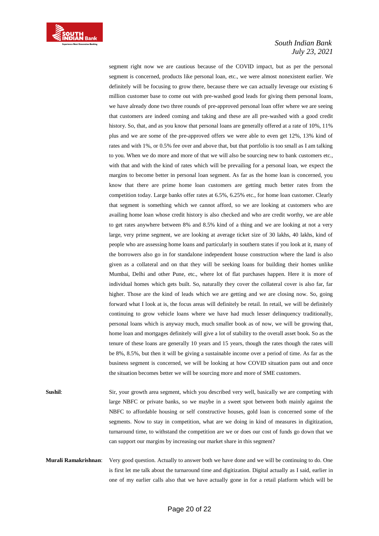

segment right now we are cautious because of the COVID impact, but as per the personal segment is concerned, products like personal loan, etc., we were almost nonexistent earlier. We definitely will be focusing to grow there, because there we can actually leverage our existing 6 million customer base to come out with pre-washed good leads for giving them personal loans, we have already done two three rounds of pre-approved personal loan offer where we are seeing that customers are indeed coming and taking and these are all pre-washed with a good credit history. So, that, and as you know that personal loans are generally offered at a rate of 10%, 11% plus and we are some of the pre-approved offers we were able to even get 12%, 13% kind of rates and with 1%, or 0.5% fee over and above that, but that portfolio is too small as I am talking to you. When we do more and more of that we will also be sourcing new to bank customers etc., with that and with the kind of rates which will be prevailing for a personal loan, we expect the margins to become better in personal loan segment. As far as the home loan is concerned, you know that there are prime home loan customers are getting much better rates from the competition today. Large banks offer rates at 6.5%, 6.25% etc., for home loan customer. Clearly that segment is something which we cannot afford, so we are looking at customers who are availing home loan whose credit history is also checked and who are credit worthy, we are able to get rates anywhere between 8% and 8.5% kind of a thing and we are looking at not a very large, very prime segment, we are looking at average ticket size of 30 lakhs, 40 lakhs, kind of people who are assessing home loans and particularly in southern states if you look at it, many of the borrowers also go in for standalone independent house construction where the land is also given as a collateral and on that they will be seeking loans for building their homes unlike Mumbai, Delhi and other Pune, etc., where lot of flat purchases happen. Here it is more of individual homes which gets built. So, naturally they cover the collateral cover is also far, far higher. Those are the kind of leads which we are getting and we are closing now. So, going forward what I look at is, the focus areas will definitely be retail. In retail, we will be definitely continuing to grow vehicle loans where we have had much lesser delinquency traditionally, personal loans which is anyway much, much smaller book as of now, we will be growing that, home loan and mortgages definitely will give a lot of stability to the overall asset book. So as the tenure of these loans are generally 10 years and 15 years, though the rates though the rates will be 8%, 8.5%, but then it will be giving a sustainable income over a period of time. As far as the business segment is concerned, we will be looking at how COVID situation pans out and once the situation becomes better we will be sourcing more and more of SME customers.

**Sushil**: Sir, your growth area segment, which you described very well, basically we are competing with large NBFC or private banks, so we maybe in a sweet spot between both mainly against the NBFC to affordable housing or self constructive houses, gold loan is concerned some of the segments. Now to stay in competition, what are we doing in kind of measures in digitization, turnaround time, to withstand the competition are we or does our cost of funds go down that we can support our margins by increasing our market share in this segment?

**Murali Ramakrishnan**: Very good question. Actually to answer both we have done and we will be continuing to do. One is first let me talk about the turnaround time and digitization. Digital actually as I said, earlier in one of my earlier calls also that we have actually gone in for a retail platform which will be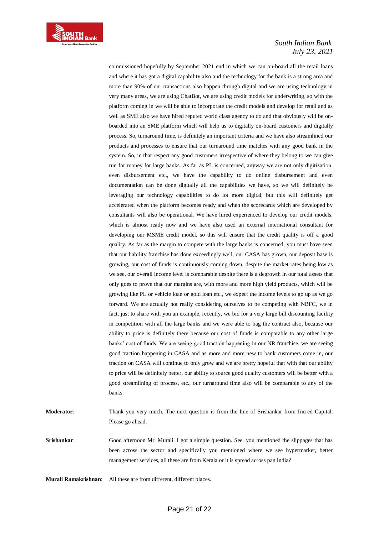

commissioned hopefully by September 2021 end in which we can on-board all the retail loans and where it has got a digital capability also and the technology for the bank is a strong area and more than 90% of our transactions also happen through digital and we are using technology in very many areas, we are using ChatBot, we are using credit models for underwriting, so with the platform coming in we will be able to incorporate the credit models and develop for retail and as well as SME also we have hired reputed world class agency to do and that obviously will be onboarded into an SME platform which will help us to digitally on-board customers and digitally process. So, turnaround time, is definitely an important criteria and we have also streamlined our products and processes to ensure that our turnaround time matches with any good bank in the system. So, in that respect any good customers irrespective of where they belong to we can give run for money for large banks. As far as PL is concerned, anyway we are not only digitization, even disbursement etc., we have the capability to do online disbursement and even documentation can be done digitally all the capabilities we have, so we will definitely be leveraging our technology capabilities to do lot more digital, but this will definitely get accelerated when the platform becomes ready and when the scorecards which are developed by consultants will also be operational. We have hired experienced to develop our credit models, which is almost ready now and we have also used an external international consultant for developing our MSME credit model, so this will ensure that the credit quality is off a good quality. As far as the margin to compete with the large banks is concerned, you must have seen that our liability franchise has done exceedingly well, our CASA has grown, our deposit base is growing, our cost of funds is continuously coming down, despite the market rates being low as we see, our overall income level is comparable despite there is a degrowth in our total assets that only goes to prove that our margins are, with more and more high yield products, which will be growing like PL or vehicle loan or gold loan etc., we expect the income levels to go up as we go forward. We are actually not really considering ourselves to be competing with NBFC, we in fact, just to share with you an example, recently, we bid for a very large bill discounting facility in competition with all the large banks and we were able to bag the contract also, because our ability to price is definitely there because our cost of funds is comparable to any other large banks' cost of funds. We are seeing good traction happening in our NR franchise, we are seeing good traction happening in CASA and as more and more new to bank customers come in, our traction on CASA will continue to only grow and we are pretty hopeful that with that our ability to price will be definitely better, our ability to source good quality customers will be better with a good streamlining of process, etc., our turnaround time also will be comparable to any of the banks.

**Moderator**: Thank you very much. The next question is from the line of Srishankar from Incred Capital. Please go ahead.

**Srishankar**: Good afternoon Mr. Murali. I got a simple question. See, you mentioned the slippages that has been across the sector and specifically you mentioned where we see hypermarket, better management services, all these are from Kerala or it is spread across pan India?

**Murali Ramakrishnan**: All these are from different, different places.